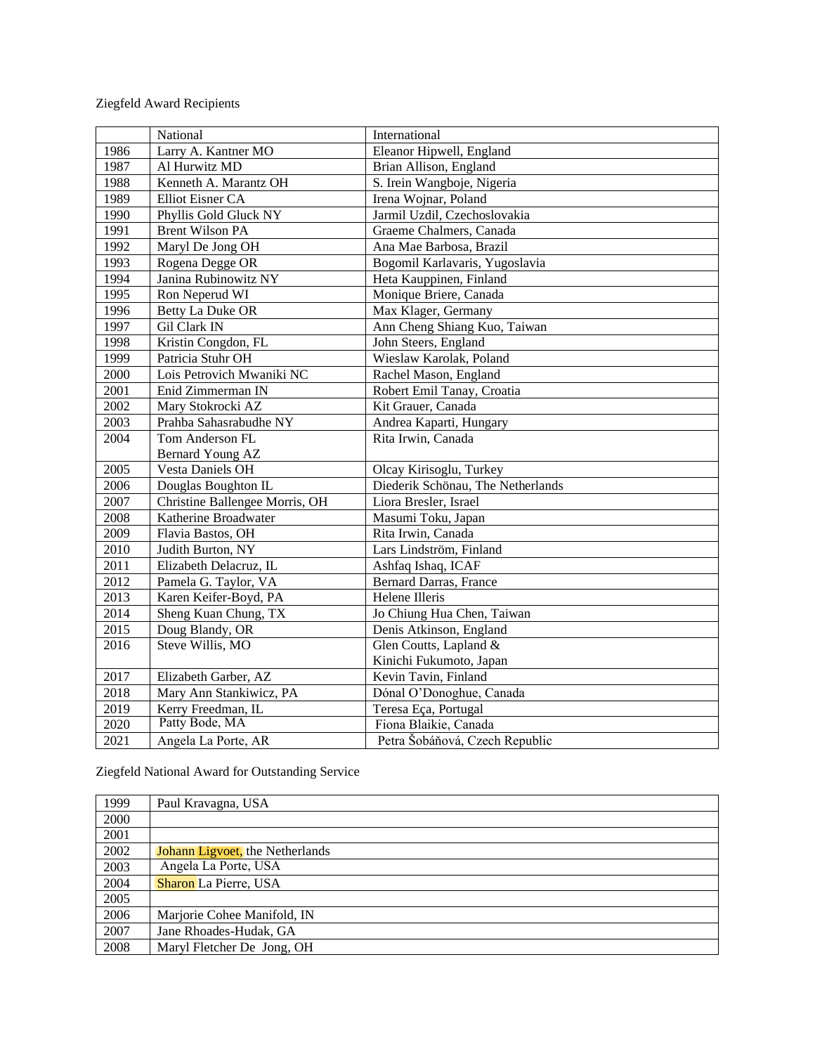## Ziegfeld Award Recipients

|      | National                       | International                     |
|------|--------------------------------|-----------------------------------|
| 1986 | Larry A. Kantner MO            | Eleanor Hipwell, England          |
| 1987 | Al Hurwitz MD                  | Brian Allison, England            |
| 1988 | Kenneth A. Marantz OH          | S. Irein Wangboje, Nigeria        |
| 1989 | Elliot Eisner CA               | Irena Wojnar, Poland              |
| 1990 | Phyllis Gold Gluck NY          | Jarmil Uzdil, Czechoslovakia      |
| 1991 | <b>Brent Wilson PA</b>         | Graeme Chalmers, Canada           |
| 1992 | Maryl De Jong OH               | Ana Mae Barbosa, Brazil           |
| 1993 | Rogena Degge OR                | Bogomil Karlavaris, Yugoslavia    |
| 1994 | Janina Rubinowitz NY           | Heta Kauppinen, Finland           |
| 1995 | Ron Neperud WI                 | Monique Briere, Canada            |
| 1996 | <b>Betty La Duke OR</b>        | Max Klager, Germany               |
| 1997 | Gil Clark IN                   | Ann Cheng Shiang Kuo, Taiwan      |
| 1998 | Kristin Congdon, FL            | John Steers, England              |
| 1999 | Patricia Stuhr OH              | Wieslaw Karolak, Poland           |
| 2000 | Lois Petrovich Mwaniki NC      | Rachel Mason, England             |
| 2001 | Enid Zimmerman IN              | Robert Emil Tanay, Croatia        |
| 2002 | Mary Stokrocki AZ              | Kit Grauer, Canada                |
| 2003 | Prahba Sahasrabudhe NY         | Andrea Kaparti, Hungary           |
| 2004 | Tom Anderson FL                | Rita Irwin, Canada                |
|      | Bernard Young AZ               |                                   |
| 2005 | <b>Vesta Daniels OH</b>        | Olcay Kirisoglu, Turkey           |
| 2006 | Douglas Boughton IL            | Diederik Schönau, The Netherlands |
| 2007 | Christine Ballengee Morris, OH | Liora Bresler, Israel             |
| 2008 | Katherine Broadwater           | Masumi Toku, Japan                |
| 2009 | Flavia Bastos, OH              | Rita Irwin, Canada                |
| 2010 | Judith Burton, NY              | Lars Lindström, Finland           |
| 2011 | Elizabeth Delacruz, IL         | Ashfaq Ishaq, ICAF                |
| 2012 | Pamela G. Taylor, VA           | <b>Bernard Darras, France</b>     |
| 2013 | Karen Keifer-Boyd, PA          | Helene Illeris                    |
| 2014 | Sheng Kuan Chung, TX           | Jo Chiung Hua Chen, Taiwan        |
| 2015 | Doug Blandy, OR                | Denis Atkinson, England           |
| 2016 | Steve Willis, MO               | Glen Coutts, Lapland &            |
|      |                                | Kinichi Fukumoto, Japan           |
| 2017 | Elizabeth Garber, AZ           | Kevin Tavin, Finland              |
| 2018 | Mary Ann Stankiwicz, PA        | Dónal O'Donoghue, Canada          |
| 2019 | Kerry Freedman, IL             | Teresa Eça, Portugal              |
| 2020 | Patty Bode, MA                 | Fiona Blaikie, Canada             |
| 2021 | Angela La Porte, AR            | Petra Šobáňová, Czech Republic    |

Ziegfeld National Award for Outstanding Service

| 1999 | Paul Kravagna, USA              |
|------|---------------------------------|
| 2000 |                                 |
| 2001 |                                 |
| 2002 | Johann Ligvoet, the Netherlands |
| 2003 | Angela La Porte, USA            |
| 2004 | Sharon La Pierre, USA           |
| 2005 |                                 |
| 2006 | Marjorie Cohee Manifold, IN     |
| 2007 | Jane Rhoades-Hudak, GA          |
| 2008 | Maryl Fletcher De Jong, OH      |